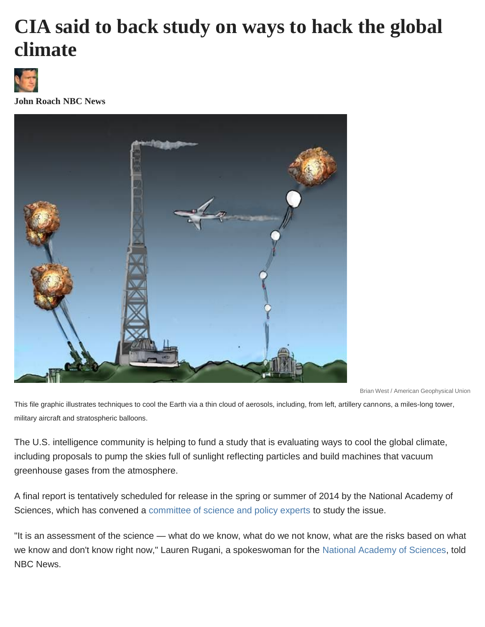## **CIA said to back study on ways to hack the global climate**



**John Roach NBC News**



Brian West / American Geophysical Union

This file graphic illustrates techniques to cool the Earth via a thin cloud of aerosols, including, from left, artillery cannons, a miles-long tower, military aircraft and stratospheric balloons.

The U.S. intelligence community is helping to fund a study that is evaluating ways to cool the global climate, including proposals to pump the skies full of sunlight reflecting particles and build machines that vacuum greenhouse gases from the atmosphere.

A final report is tentatively scheduled for release in the spring or summer of 2014 by the National Academy of Sciences, which has convened a [committee of science and policy experts](http://www8.nationalacademies.org/cp/CommitteeView.aspx?key=49540) to study the issue.

"It is an assessment of the science — what do we know, what do we not know, what are the risks based on what we know and don't know right now," Lauren Rugani, a spokeswoman for the [National Academy of Sciences,](http://www.nas.edu/newsroom/staff/index.html) told NBC News.